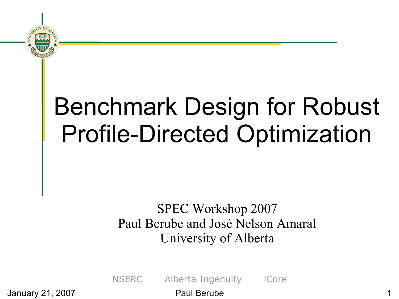

## Benchmark Design for Robust Profile-Directed Optimization

#### SPEC Workshop 2007 Paul Berube and José Nelson Amaral University of Alberta

NSERC Alberta Ingenuity iCore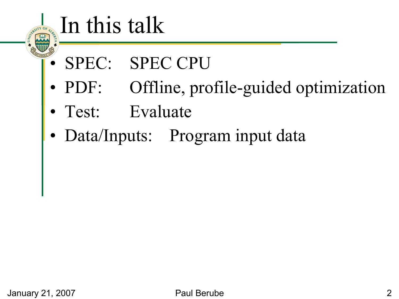#### In this talk

- SPEC: SPEC CPU
- PDF: Offline, profile-guided optimization
- Test: Evaluate
- Data/Inputs: Program input data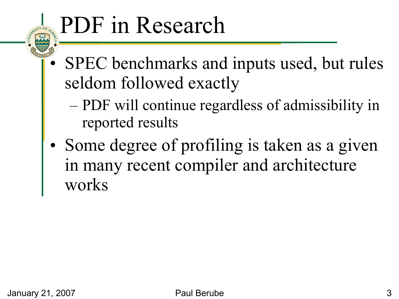## PDF in Research

- SPEC benchmarks and inputs used, but rules seldom followed exactly
	- PDF will continue regardless of admissibility in reported results
- Some degree of profiling is taken as a given in many recent compiler and architecture works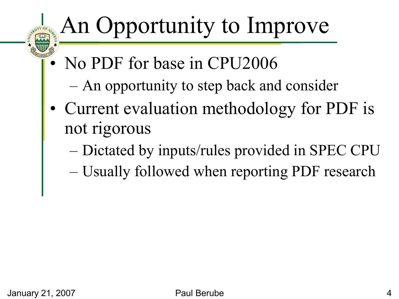### An Opportunity to Improve

- No PDF for base in CPU2006
	- An opportunity to step back and consider
- Current evaluation methodology for PDF is not rigorous
	- Dictated by inputs/rules provided in SPEC CPU
	- Usually followed when reporting PDF research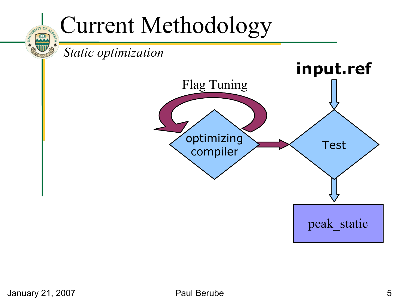#### Current Methodology

*Static optimization*

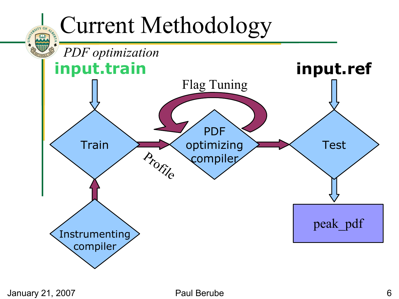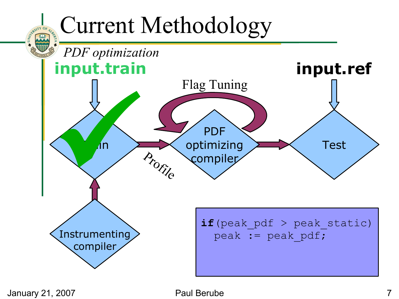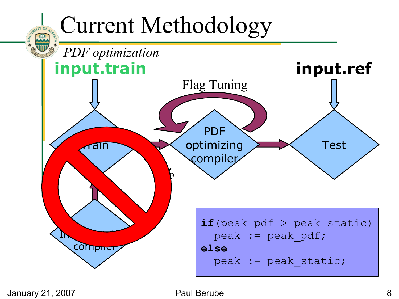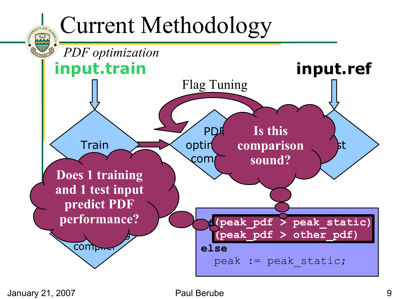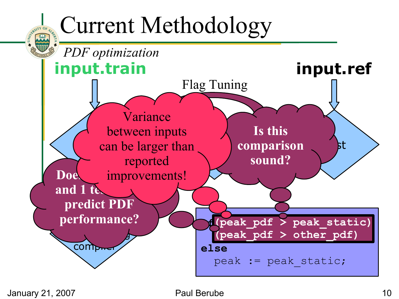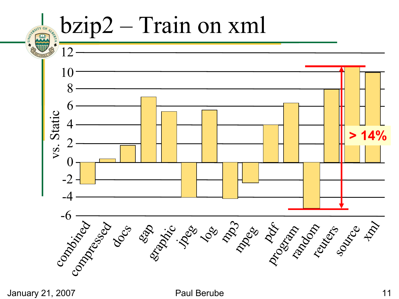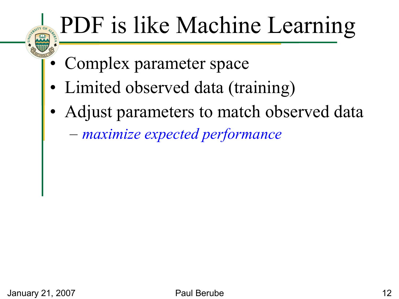# PDF is like Machine Learning

- Complex parameter space
- Limited observed data (training)
- Adjust parameters to match observed data
	- *maximize expected performance*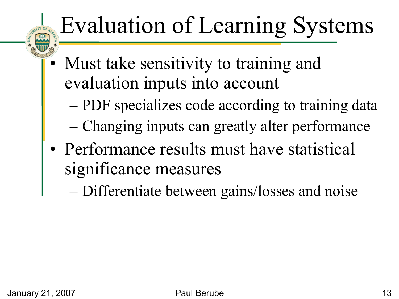# Evaluation of Learning Systems

- Must take sensitivity to training and evaluation inputs into account
	- PDF specializes code according to training data
	- Changing inputs can greatly alter performance
- Performance results must have statistical significance measures
	- Differentiate between gains/losses and noise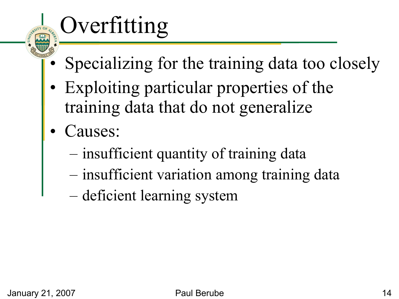# Overfitting

- Specializing for the training data too closely
- Exploiting particular properties of the training data that do not generalize
- Causes:
	- insufficient quantity of training data
	- insufficient variation among training data
	- deficient learning system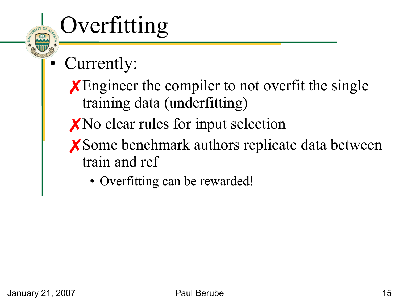# Overfitting

- Currently:
	- **X** Engineer the compiler to not overfit the single training data (underfitting)
	- ✗No clear rules for input selection
	- ✗Some benchmark authors replicate data between train and ref
		- Overfitting can be rewarded!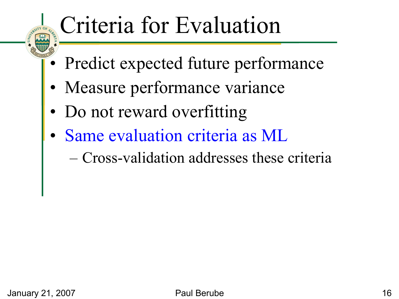### Criteria for Evaluation

- Predict expected future performance
- Measure performance variance
- Do not reward overfitting
- Same evaluation criteria as ML
	- Cross-validation addresses these criteria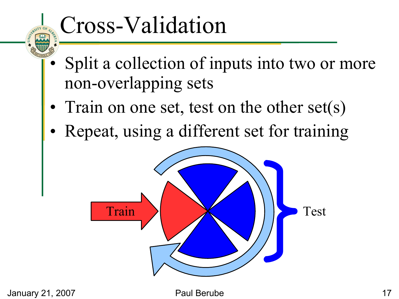## Cross-Validation

- Split a collection of inputs into two or more non-overlapping sets
- Train on one set, test on the other set(s)
- Repeat, using a different set for training

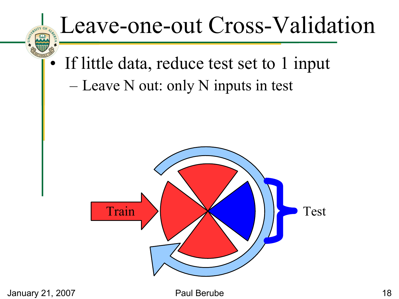#### Leave-one-out Cross-Validation

If little data, reduce test set to 1 input – Leave N out: only N inputs in test

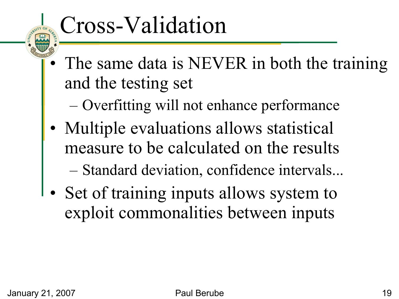### Cross-Validation

- The same data is NEVER in both the training and the testing set
	- Overfitting will not enhance performance
- Multiple evaluations allows statistical measure to be calculated on the results – Standard deviation, confidence intervals...
- Set of training inputs allows system to exploit commonalities between inputs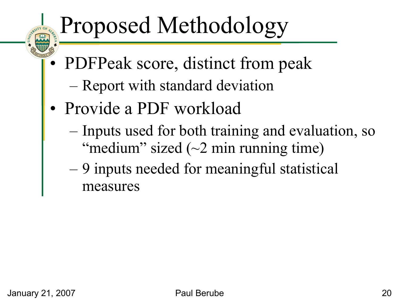# Proposed Methodology

- PDFPeak score, distinct from peak
	- Report with standard deviation
- Provide a PDF workload
	- Inputs used for both training and evaluation, so "medium" sized  $(\sim 2 \text{ min running time})$
	- 9 inputs needed for meaningful statistical measures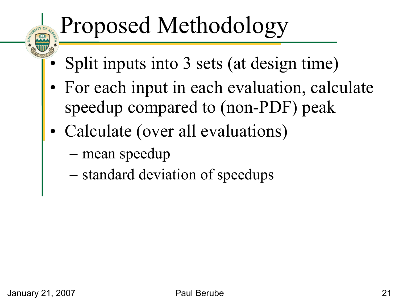# Proposed Methodology

- Split inputs into 3 sets (at design time)
- For each input in each evaluation, calculate speedup compared to (non-PDF) peak
- Calculate (over all evaluations)
	- mean speedup
	- standard deviation of speedups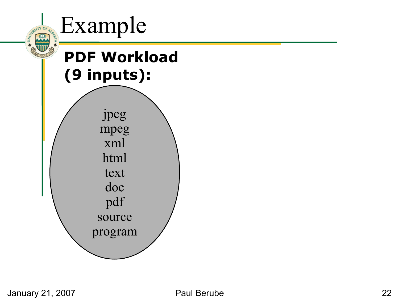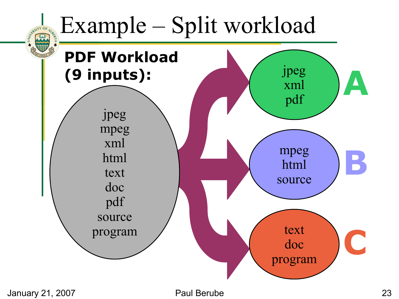#### Example – Split workload

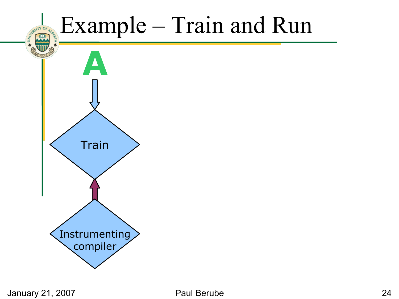#### Example – Train and Run

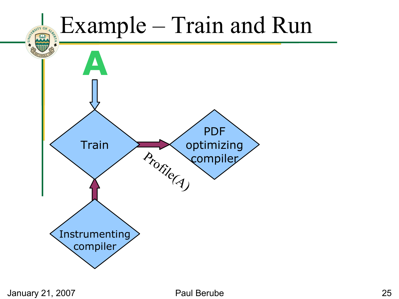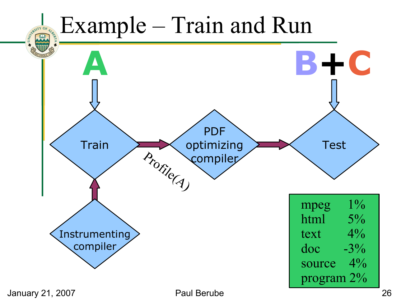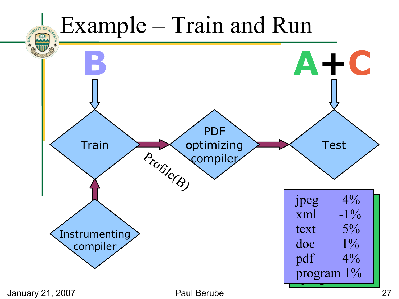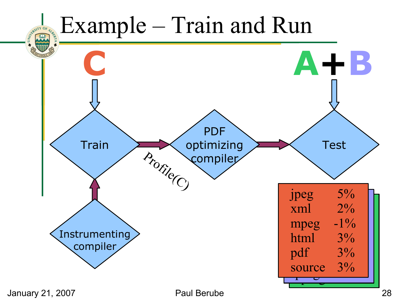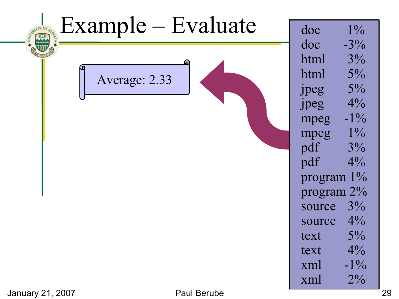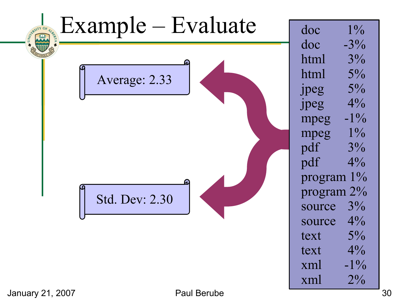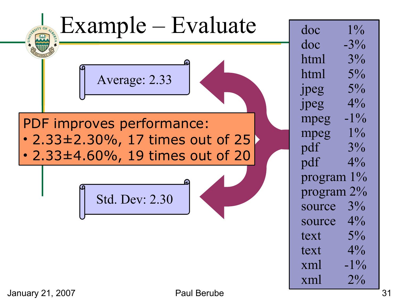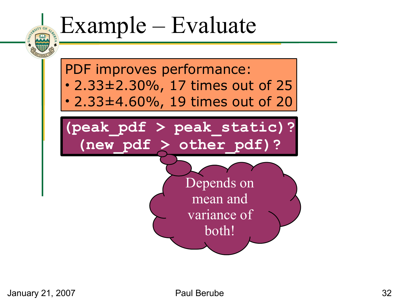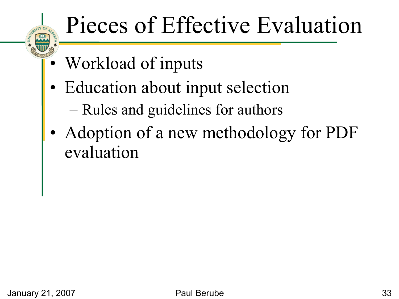## Pieces of Effective Evaluation

- Workload of inputs
- Education about input selection
	- Rules and guidelines for authors
- Adoption of a new methodology for PDF evaluation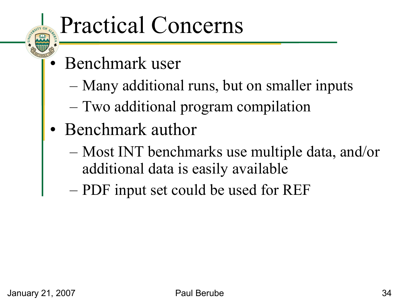#### Practical Concerns

- Benchmark user
	- Many additional runs, but on smaller inputs
	- Two additional program compilation
- Benchmark author
	- Most INT benchmarks use multiple data, and/or additional data is easily available
	- PDF input set could be used for REF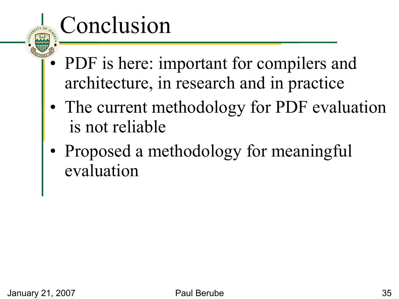## Conclusion

- PDF is here: important for compilers and architecture, in research and in practice
- The current methodology for PDF evaluation is not reliable
- Proposed a methodology for meaningful evaluation